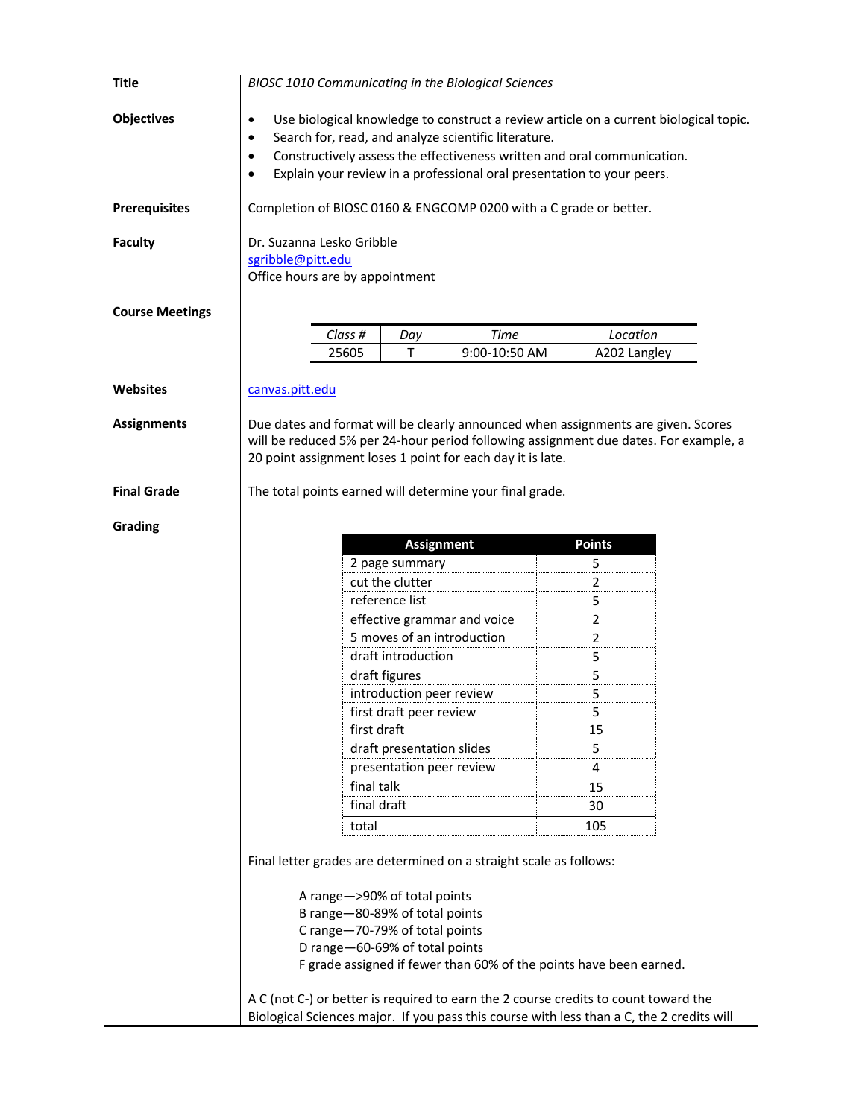| <b>Title</b>           | <b>BIOSC 1010 Communicating in the Biological Sciences</b>                                                                                                                                                                                                                                                                                             |             |                                               |               |                |  |
|------------------------|--------------------------------------------------------------------------------------------------------------------------------------------------------------------------------------------------------------------------------------------------------------------------------------------------------------------------------------------------------|-------------|-----------------------------------------------|---------------|----------------|--|
| <b>Objectives</b>      | Use biological knowledge to construct a review article on a current biological topic.<br>$\bullet$<br>Search for, read, and analyze scientific literature.<br>$\bullet$<br>Constructively assess the effectiveness written and oral communication.<br>$\bullet$<br>Explain your review in a professional oral presentation to your peers.<br>$\bullet$ |             |                                               |               |                |  |
| <b>Prerequisites</b>   | Completion of BIOSC 0160 & ENGCOMP 0200 with a C grade or better.                                                                                                                                                                                                                                                                                      |             |                                               |               |                |  |
| <b>Faculty</b>         | Dr. Suzanna Lesko Gribble<br>sgribble@pitt.edu<br>Office hours are by appointment                                                                                                                                                                                                                                                                      |             |                                               |               |                |  |
| <b>Course Meetings</b> |                                                                                                                                                                                                                                                                                                                                                        |             |                                               |               |                |  |
|                        |                                                                                                                                                                                                                                                                                                                                                        | Class #     | Day                                           | <b>Time</b>   | Location       |  |
|                        |                                                                                                                                                                                                                                                                                                                                                        | 25605       | Т                                             | 9:00-10:50 AM | A202 Langley   |  |
|                        |                                                                                                                                                                                                                                                                                                                                                        |             |                                               |               |                |  |
| Websites               | canvas.pitt.edu                                                                                                                                                                                                                                                                                                                                        |             |                                               |               |                |  |
| <b>Assignments</b>     | Due dates and format will be clearly announced when assignments are given. Scores<br>will be reduced 5% per 24-hour period following assignment due dates. For example, a<br>20 point assignment loses 1 point for each day it is late.                                                                                                                |             |                                               |               |                |  |
| <b>Final Grade</b>     | The total points earned will determine your final grade.                                                                                                                                                                                                                                                                                               |             |                                               |               |                |  |
| Grading                |                                                                                                                                                                                                                                                                                                                                                        |             |                                               |               |                |  |
|                        |                                                                                                                                                                                                                                                                                                                                                        |             | <b>Assignment</b>                             |               | <b>Points</b>  |  |
|                        |                                                                                                                                                                                                                                                                                                                                                        |             | 2 page summary                                |               | 5              |  |
|                        |                                                                                                                                                                                                                                                                                                                                                        |             | cut the clutter                               |               | $\overline{a}$ |  |
|                        |                                                                                                                                                                                                                                                                                                                                                        |             | reference list<br>effective grammar and voice |               | 5              |  |
|                        |                                                                                                                                                                                                                                                                                                                                                        |             |                                               |               | $\overline{2}$ |  |
|                        |                                                                                                                                                                                                                                                                                                                                                        |             | 5 moves of an introduction                    |               | 2<br>5         |  |
|                        |                                                                                                                                                                                                                                                                                                                                                        |             | draft introduction<br>draft figures           |               |                |  |
|                        |                                                                                                                                                                                                                                                                                                                                                        |             | introduction peer review                      |               | 5<br>5         |  |
|                        |                                                                                                                                                                                                                                                                                                                                                        |             | first draft peer review                       |               | 5              |  |
|                        |                                                                                                                                                                                                                                                                                                                                                        |             |                                               |               | 15             |  |
|                        |                                                                                                                                                                                                                                                                                                                                                        |             | first draft<br>draft presentation slides      |               | 5              |  |
|                        |                                                                                                                                                                                                                                                                                                                                                        |             | presentation peer review                      |               | 4              |  |
|                        |                                                                                                                                                                                                                                                                                                                                                        | final talk  |                                               |               | 15             |  |
|                        |                                                                                                                                                                                                                                                                                                                                                        | final draft |                                               |               | 30             |  |
|                        |                                                                                                                                                                                                                                                                                                                                                        | total       |                                               |               | 105            |  |
|                        |                                                                                                                                                                                                                                                                                                                                                        |             |                                               |               |                |  |
|                        | Final letter grades are determined on a straight scale as follows:                                                                                                                                                                                                                                                                                     |             |                                               |               |                |  |
|                        | A range->90% of total points<br>B range-80-89% of total points<br>C range-70-79% of total points<br>D range-60-69% of total points<br>F grade assigned if fewer than 60% of the points have been earned.<br>A C (not C-) or better is required to earn the 2 course credits to count toward the                                                        |             |                                               |               |                |  |
|                        | Biological Sciences major. If you pass this course with less than a C, the 2 credits will                                                                                                                                                                                                                                                              |             |                                               |               |                |  |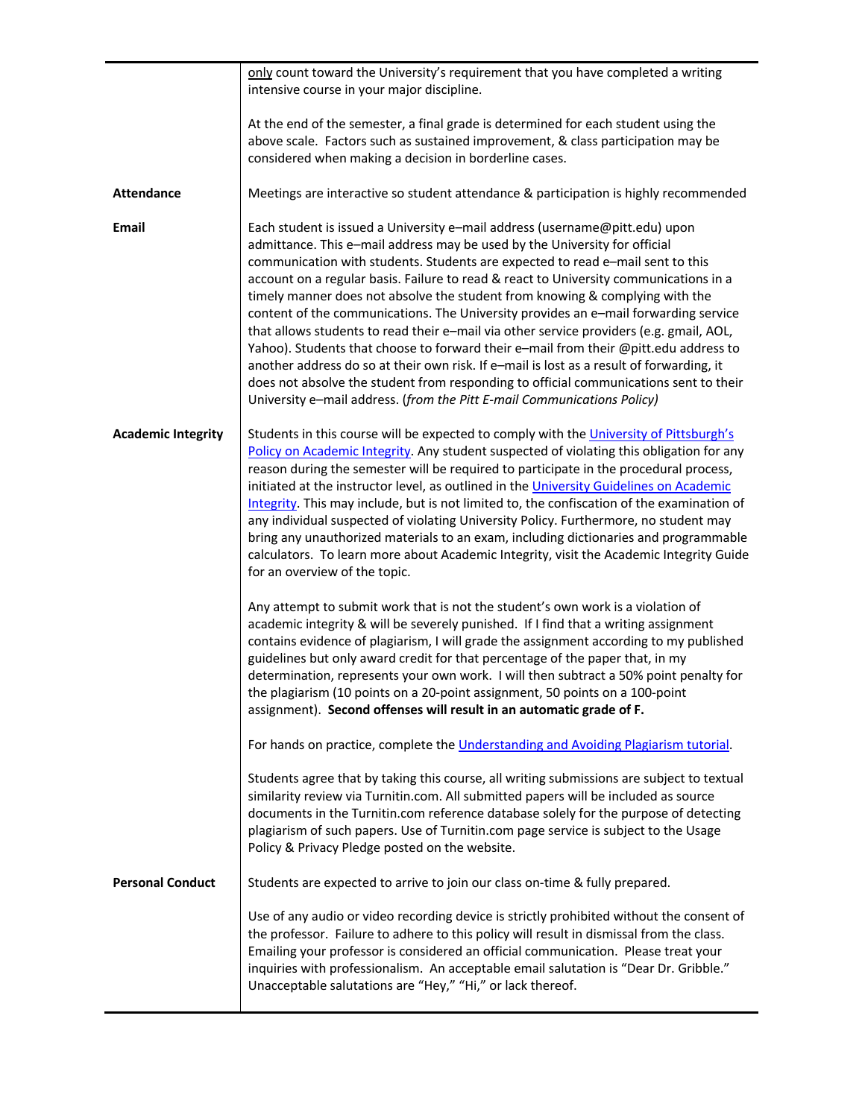|                           | only count toward the University's requirement that you have completed a writing<br>intensive course in your major discipline.                                                                                                                                                                                                                                                                                                                                                                                                                                                                                                                                                                                                                                                                                                                                                                                                                                 |  |  |  |  |
|---------------------------|----------------------------------------------------------------------------------------------------------------------------------------------------------------------------------------------------------------------------------------------------------------------------------------------------------------------------------------------------------------------------------------------------------------------------------------------------------------------------------------------------------------------------------------------------------------------------------------------------------------------------------------------------------------------------------------------------------------------------------------------------------------------------------------------------------------------------------------------------------------------------------------------------------------------------------------------------------------|--|--|--|--|
|                           | At the end of the semester, a final grade is determined for each student using the<br>above scale. Factors such as sustained improvement, & class participation may be<br>considered when making a decision in borderline cases.                                                                                                                                                                                                                                                                                                                                                                                                                                                                                                                                                                                                                                                                                                                               |  |  |  |  |
| <b>Attendance</b>         | Meetings are interactive so student attendance & participation is highly recommended                                                                                                                                                                                                                                                                                                                                                                                                                                                                                                                                                                                                                                                                                                                                                                                                                                                                           |  |  |  |  |
| Email                     | Each student is issued a University e-mail address (username@pitt.edu) upon<br>admittance. This e-mail address may be used by the University for official<br>communication with students. Students are expected to read e-mail sent to this<br>account on a regular basis. Failure to read & react to University communications in a<br>timely manner does not absolve the student from knowing & complying with the<br>content of the communications. The University provides an e-mail forwarding service<br>that allows students to read their e-mail via other service providers (e.g. gmail, AOL,<br>Yahoo). Students that choose to forward their e-mail from their @pitt.edu address to<br>another address do so at their own risk. If e-mail is lost as a result of forwarding, it<br>does not absolve the student from responding to official communications sent to their<br>University e-mail address. (from the Pitt E-mail Communications Policy) |  |  |  |  |
| <b>Academic Integrity</b> | Students in this course will be expected to comply with the University of Pittsburgh's<br>Policy on Academic Integrity. Any student suspected of violating this obligation for any<br>reason during the semester will be required to participate in the procedural process,<br>initiated at the instructor level, as outlined in the University Guidelines on Academic<br>Integrity. This may include, but is not limited to, the confiscation of the examination of<br>any individual suspected of violating University Policy. Furthermore, no student may<br>bring any unauthorized materials to an exam, including dictionaries and programmable<br>calculators. To learn more about Academic Integrity, visit the Academic Integrity Guide<br>for an overview of the topic.                                                                                                                                                                               |  |  |  |  |
|                           | Any attempt to submit work that is not the student's own work is a violation of<br>academic integrity & will be severely punished. If I find that a writing assignment<br>contains evidence of plagiarism, I will grade the assignment according to my published<br>guidelines but only award credit for that percentage of the paper that, in my<br>determination, represents your own work. I will then subtract a 50% point penalty for<br>the plagiarism (10 points on a 20-point assignment, 50 points on a 100-point<br>assignment). Second offenses will result in an automatic grade of F.                                                                                                                                                                                                                                                                                                                                                             |  |  |  |  |
|                           | For hands on practice, complete the Understanding and Avoiding Plagiarism tutorial.                                                                                                                                                                                                                                                                                                                                                                                                                                                                                                                                                                                                                                                                                                                                                                                                                                                                            |  |  |  |  |
|                           | Students agree that by taking this course, all writing submissions are subject to textual<br>similarity review via Turnitin.com. All submitted papers will be included as source<br>documents in the Turnitin.com reference database solely for the purpose of detecting<br>plagiarism of such papers. Use of Turnitin.com page service is subject to the Usage<br>Policy & Privacy Pledge posted on the website.                                                                                                                                                                                                                                                                                                                                                                                                                                                                                                                                              |  |  |  |  |
| <b>Personal Conduct</b>   | Students are expected to arrive to join our class on-time & fully prepared.                                                                                                                                                                                                                                                                                                                                                                                                                                                                                                                                                                                                                                                                                                                                                                                                                                                                                    |  |  |  |  |
|                           | Use of any audio or video recording device is strictly prohibited without the consent of<br>the professor. Failure to adhere to this policy will result in dismissal from the class.<br>Emailing your professor is considered an official communication. Please treat your<br>inquiries with professionalism. An acceptable email salutation is "Dear Dr. Gribble."<br>Unacceptable salutations are "Hey," "Hi," or lack thereof.                                                                                                                                                                                                                                                                                                                                                                                                                                                                                                                              |  |  |  |  |
|                           |                                                                                                                                                                                                                                                                                                                                                                                                                                                                                                                                                                                                                                                                                                                                                                                                                                                                                                                                                                |  |  |  |  |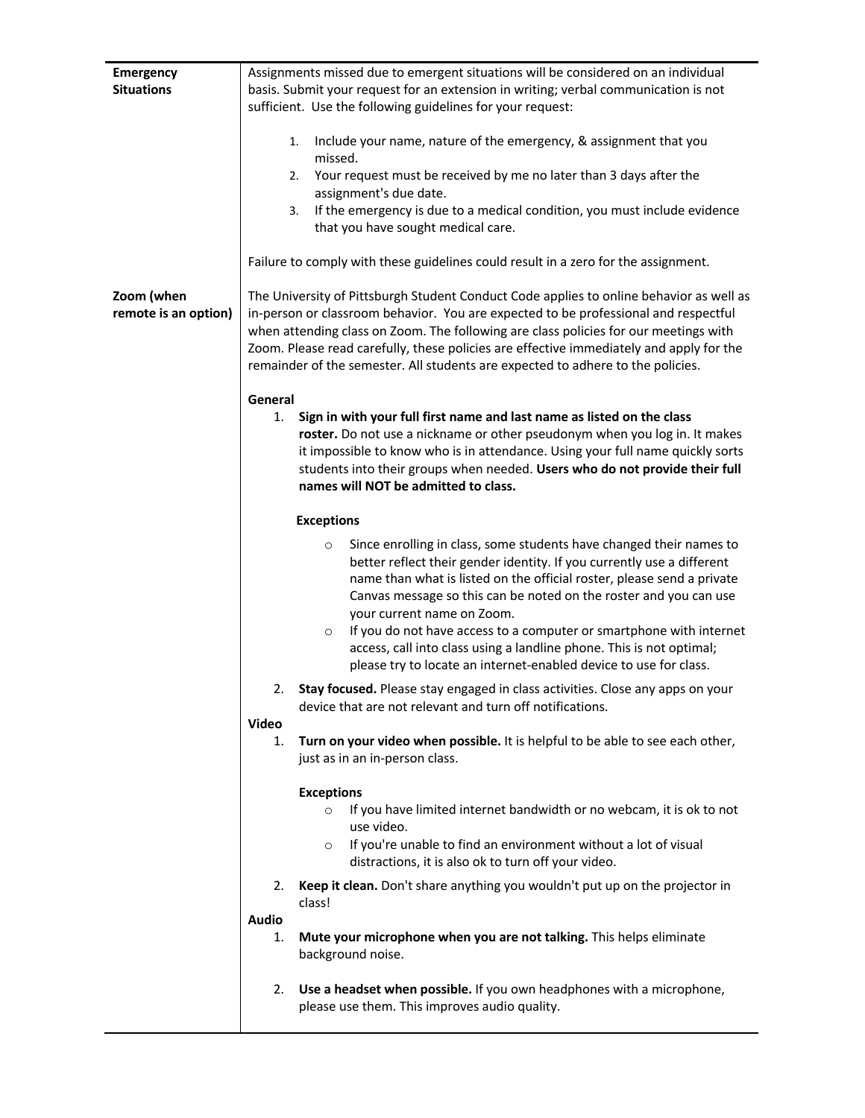| <b>Emergency</b>     | Assignments missed due to emergent situations will be considered on an individual       |  |  |  |
|----------------------|-----------------------------------------------------------------------------------------|--|--|--|
| <b>Situations</b>    | basis. Submit your request for an extension in writing; verbal communication is not     |  |  |  |
|                      | sufficient. Use the following guidelines for your request:                              |  |  |  |
|                      |                                                                                         |  |  |  |
|                      | Include your name, nature of the emergency, & assignment that you                       |  |  |  |
|                      | 1.                                                                                      |  |  |  |
|                      | missed.                                                                                 |  |  |  |
|                      | Your request must be received by me no later than 3 days after the<br>2.                |  |  |  |
|                      | assignment's due date.                                                                  |  |  |  |
|                      | If the emergency is due to a medical condition, you must include evidence<br>3.         |  |  |  |
|                      | that you have sought medical care.                                                      |  |  |  |
|                      |                                                                                         |  |  |  |
|                      | Failure to comply with these guidelines could result in a zero for the assignment.      |  |  |  |
|                      |                                                                                         |  |  |  |
|                      |                                                                                         |  |  |  |
| Zoom (when           | The University of Pittsburgh Student Conduct Code applies to online behavior as well as |  |  |  |
| remote is an option) | in-person or classroom behavior. You are expected to be professional and respectful     |  |  |  |
|                      | when attending class on Zoom. The following are class policies for our meetings with    |  |  |  |
|                      | Zoom. Please read carefully, these policies are effective immediately and apply for the |  |  |  |
|                      | remainder of the semester. All students are expected to adhere to the policies.         |  |  |  |
|                      |                                                                                         |  |  |  |
|                      | General                                                                                 |  |  |  |
|                      | Sign in with your full first name and last name as listed on the class                  |  |  |  |
|                      | 1.                                                                                      |  |  |  |
|                      | roster. Do not use a nickname or other pseudonym when you log in. It makes              |  |  |  |
|                      | it impossible to know who is in attendance. Using your full name quickly sorts          |  |  |  |
|                      | students into their groups when needed. Users who do not provide their full             |  |  |  |
|                      | names will NOT be admitted to class.                                                    |  |  |  |
|                      |                                                                                         |  |  |  |
|                      | <b>Exceptions</b>                                                                       |  |  |  |
|                      | Since enrolling in class, some students have changed their names to<br>$\circ$          |  |  |  |
|                      | better reflect their gender identity. If you currently use a different                  |  |  |  |
|                      | name than what is listed on the official roster, please send a private                  |  |  |  |
|                      | Canvas message so this can be noted on the roster and you can use                       |  |  |  |
|                      | your current name on Zoom.                                                              |  |  |  |
|                      |                                                                                         |  |  |  |
|                      | If you do not have access to a computer or smartphone with internet<br>$\circ$          |  |  |  |
|                      | access, call into class using a landline phone. This is not optimal;                    |  |  |  |
|                      | please try to locate an internet-enabled device to use for class.                       |  |  |  |
|                      | Stay focused. Please stay engaged in class activities. Close any apps on your           |  |  |  |
|                      | device that are not relevant and turn off notifications.                                |  |  |  |
|                      | <b>Video</b>                                                                            |  |  |  |
|                      |                                                                                         |  |  |  |
|                      | Turn on your video when possible. It is helpful to be able to see each other,<br>1.     |  |  |  |
|                      | just as in an in-person class.                                                          |  |  |  |
|                      |                                                                                         |  |  |  |
|                      | <b>Exceptions</b>                                                                       |  |  |  |
|                      | If you have limited internet bandwidth or no webcam, it is ok to not<br>$\circ$         |  |  |  |
|                      | use video.                                                                              |  |  |  |
|                      | If you're unable to find an environment without a lot of visual<br>$\circ$              |  |  |  |
|                      | distractions, it is also ok to turn off your video.                                     |  |  |  |
|                      |                                                                                         |  |  |  |
|                      | Keep it clean. Don't share anything you wouldn't put up on the projector in<br>2.       |  |  |  |
|                      | class!                                                                                  |  |  |  |
|                      | <b>Audio</b>                                                                            |  |  |  |
|                      | Mute your microphone when you are not talking. This helps eliminate<br>1.               |  |  |  |
|                      |                                                                                         |  |  |  |
|                      | background noise.                                                                       |  |  |  |
|                      |                                                                                         |  |  |  |
|                      | Use a headset when possible. If you own headphones with a microphone,<br>2.             |  |  |  |
|                      | please use them. This improves audio quality.                                           |  |  |  |
|                      |                                                                                         |  |  |  |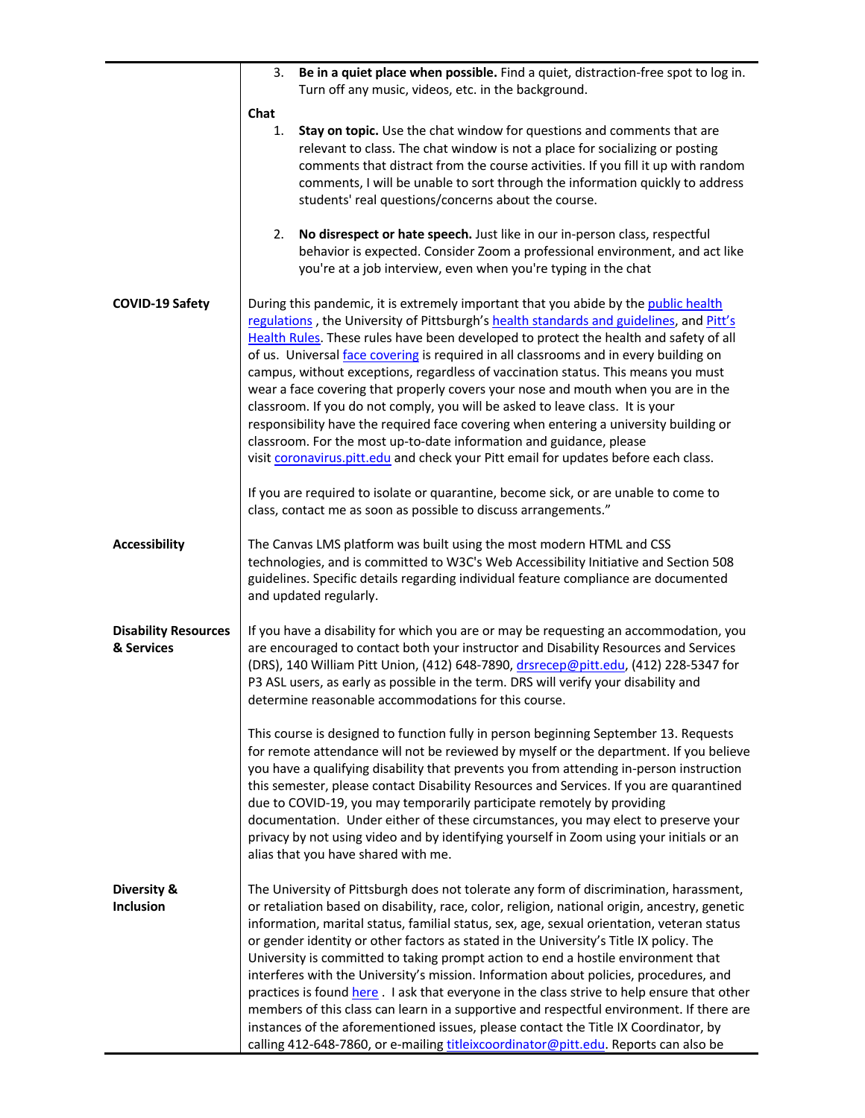|                                           | Be in a quiet place when possible. Find a quiet, distraction-free spot to log in.<br>3.                                                                                                                                                                                                                                                                                                                                                                                                                                                                                                                                                                                                                                                                                                                                                                                                                                                |  |  |  |  |
|-------------------------------------------|----------------------------------------------------------------------------------------------------------------------------------------------------------------------------------------------------------------------------------------------------------------------------------------------------------------------------------------------------------------------------------------------------------------------------------------------------------------------------------------------------------------------------------------------------------------------------------------------------------------------------------------------------------------------------------------------------------------------------------------------------------------------------------------------------------------------------------------------------------------------------------------------------------------------------------------|--|--|--|--|
|                                           | Turn off any music, videos, etc. in the background.                                                                                                                                                                                                                                                                                                                                                                                                                                                                                                                                                                                                                                                                                                                                                                                                                                                                                    |  |  |  |  |
|                                           | Chat<br>Stay on topic. Use the chat window for questions and comments that are<br>1.<br>relevant to class. The chat window is not a place for socializing or posting<br>comments that distract from the course activities. If you fill it up with random<br>comments, I will be unable to sort through the information quickly to address<br>students' real questions/concerns about the course.                                                                                                                                                                                                                                                                                                                                                                                                                                                                                                                                       |  |  |  |  |
|                                           | No disrespect or hate speech. Just like in our in-person class, respectful<br>2.<br>behavior is expected. Consider Zoom a professional environment, and act like<br>you're at a job interview, even when you're typing in the chat                                                                                                                                                                                                                                                                                                                                                                                                                                                                                                                                                                                                                                                                                                     |  |  |  |  |
| <b>COVID-19 Safety</b>                    | During this pandemic, it is extremely important that you abide by the public health<br>regulations, the University of Pittsburgh's health standards and guidelines, and Pitt's<br>Health Rules. These rules have been developed to protect the health and safety of all<br>of us. Universal face covering is required in all classrooms and in every building on<br>campus, without exceptions, regardless of vaccination status. This means you must<br>wear a face covering that properly covers your nose and mouth when you are in the<br>classroom. If you do not comply, you will be asked to leave class. It is your<br>responsibility have the required face covering when entering a university building or<br>classroom. For the most up-to-date information and guidance, please<br>visit coronavirus.pitt.edu and check your Pitt email for updates before each class.                                                     |  |  |  |  |
|                                           | If you are required to isolate or quarantine, become sick, or are unable to come to<br>class, contact me as soon as possible to discuss arrangements."                                                                                                                                                                                                                                                                                                                                                                                                                                                                                                                                                                                                                                                                                                                                                                                 |  |  |  |  |
| <b>Accessibility</b>                      | The Canvas LMS platform was built using the most modern HTML and CSS<br>technologies, and is committed to W3C's Web Accessibility Initiative and Section 508<br>guidelines. Specific details regarding individual feature compliance are documented<br>and updated regularly.                                                                                                                                                                                                                                                                                                                                                                                                                                                                                                                                                                                                                                                          |  |  |  |  |
| <b>Disability Resources</b><br>& Services | If you have a disability for which you are or may be requesting an accommodation, you<br>are encouraged to contact both your instructor and Disability Resources and Services<br>(DRS), 140 William Pitt Union, (412) 648-7890, drsrecep@pitt.edu, (412) 228-5347 for<br>P3 ASL users, as early as possible in the term. DRS will verify your disability and<br>determine reasonable accommodations for this course.                                                                                                                                                                                                                                                                                                                                                                                                                                                                                                                   |  |  |  |  |
|                                           | This course is designed to function fully in person beginning September 13. Requests<br>for remote attendance will not be reviewed by myself or the department. If you believe<br>you have a qualifying disability that prevents you from attending in-person instruction<br>this semester, please contact Disability Resources and Services. If you are quarantined<br>due to COVID-19, you may temporarily participate remotely by providing<br>documentation. Under either of these circumstances, you may elect to preserve your<br>privacy by not using video and by identifying yourself in Zoom using your initials or an<br>alias that you have shared with me.                                                                                                                                                                                                                                                                |  |  |  |  |
| Diversity &<br>Inclusion                  | The University of Pittsburgh does not tolerate any form of discrimination, harassment,<br>or retaliation based on disability, race, color, religion, national origin, ancestry, genetic<br>information, marital status, familial status, sex, age, sexual orientation, veteran status<br>or gender identity or other factors as stated in the University's Title IX policy. The<br>University is committed to taking prompt action to end a hostile environment that<br>interferes with the University's mission. Information about policies, procedures, and<br>practices is found here . I ask that everyone in the class strive to help ensure that other<br>members of this class can learn in a supportive and respectful environment. If there are<br>instances of the aforementioned issues, please contact the Title IX Coordinator, by<br>calling 412-648-7860, or e-mailing titleixcoordinator@pitt.edu. Reports can also be |  |  |  |  |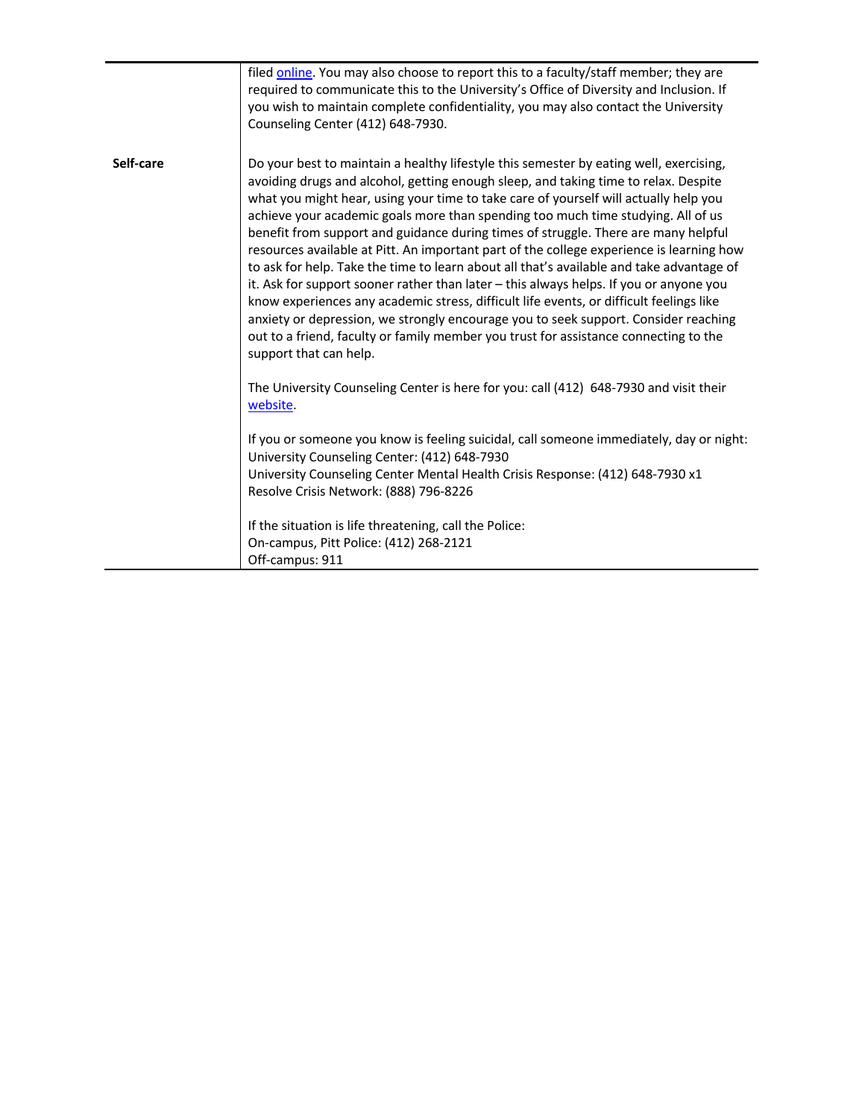|           | filed online. You may also choose to report this to a faculty/staff member; they are<br>required to communicate this to the University's Office of Diversity and Inclusion. If<br>you wish to maintain complete confidentiality, you may also contact the University<br>Counseling Center (412) 648-7930.                                                                                                                                                                                                                                                                                                                                                                                                                                                                                                                                                                                                                                                                                                                             |
|-----------|---------------------------------------------------------------------------------------------------------------------------------------------------------------------------------------------------------------------------------------------------------------------------------------------------------------------------------------------------------------------------------------------------------------------------------------------------------------------------------------------------------------------------------------------------------------------------------------------------------------------------------------------------------------------------------------------------------------------------------------------------------------------------------------------------------------------------------------------------------------------------------------------------------------------------------------------------------------------------------------------------------------------------------------|
| Self-care | Do your best to maintain a healthy lifestyle this semester by eating well, exercising,<br>avoiding drugs and alcohol, getting enough sleep, and taking time to relax. Despite<br>what you might hear, using your time to take care of yourself will actually help you<br>achieve your academic goals more than spending too much time studying. All of us<br>benefit from support and guidance during times of struggle. There are many helpful<br>resources available at Pitt. An important part of the college experience is learning how<br>to ask for help. Take the time to learn about all that's available and take advantage of<br>it. Ask for support sooner rather than later - this always helps. If you or anyone you<br>know experiences any academic stress, difficult life events, or difficult feelings like<br>anxiety or depression, we strongly encourage you to seek support. Consider reaching<br>out to a friend, faculty or family member you trust for assistance connecting to the<br>support that can help. |
|           | The University Counseling Center is here for you: call (412) 648-7930 and visit their<br>website.                                                                                                                                                                                                                                                                                                                                                                                                                                                                                                                                                                                                                                                                                                                                                                                                                                                                                                                                     |
|           | If you or someone you know is feeling suicidal, call someone immediately, day or night:<br>University Counseling Center: (412) 648-7930<br>University Counseling Center Mental Health Crisis Response: (412) 648-7930 x1<br>Resolve Crisis Network: (888) 796-8226                                                                                                                                                                                                                                                                                                                                                                                                                                                                                                                                                                                                                                                                                                                                                                    |
|           | If the situation is life threatening, call the Police:<br>On-campus, Pitt Police: (412) 268-2121<br>Off-campus: 911                                                                                                                                                                                                                                                                                                                                                                                                                                                                                                                                                                                                                                                                                                                                                                                                                                                                                                                   |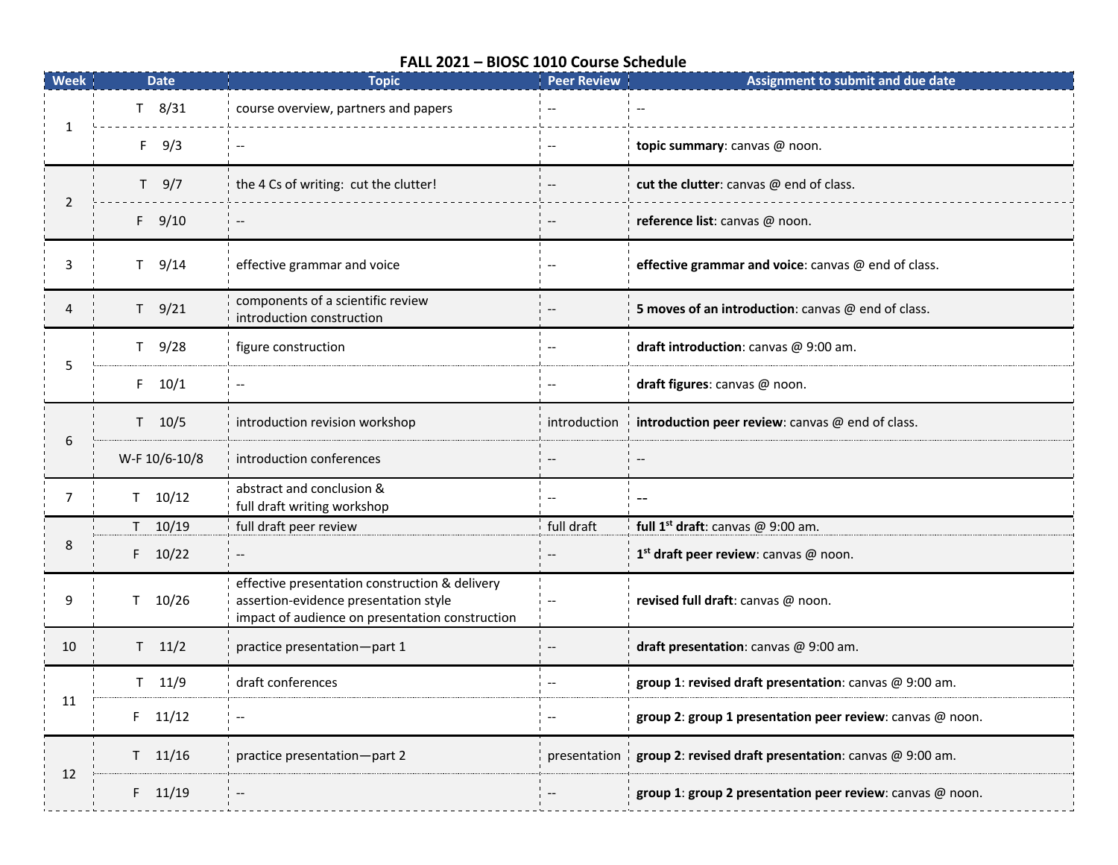## **FALL 2021 – BIOSC 1010 Course Schedule**

| <b>Week</b>    | <b>Date</b>   | <b>Topic</b>                                                                                                                               | <b>Peer Review</b>       | Assignment to submit and due date                         |
|----------------|---------------|--------------------------------------------------------------------------------------------------------------------------------------------|--------------------------|-----------------------------------------------------------|
| 1              | $T$ 8/31      | course overview, partners and papers                                                                                                       |                          |                                                           |
|                | $F = 9/3$     | $\overline{a}$                                                                                                                             |                          | topic summary: canvas @ noon.                             |
| $\overline{2}$ | $T$ 9/7       | the 4 Cs of writing: cut the clutter!                                                                                                      |                          | cut the clutter: canvas @ end of class.                   |
|                | $F = 9/10$    | $\overline{\phantom{a}}$                                                                                                                   |                          | reference list: canvas @ noon.                            |
| 3              | $T = 9/14$    | effective grammar and voice                                                                                                                |                          | effective grammar and voice: canvas @ end of class.       |
| 4              | $T = 9/21$    | components of a scientific review<br>introduction construction                                                                             |                          | 5 moves of an introduction: canvas @ end of class.        |
| 5              | $T = 9/28$    | figure construction                                                                                                                        |                          | draft introduction: canvas @ 9:00 am.                     |
|                | $F = 10/1$    | $\overline{\phantom{a}}$                                                                                                                   |                          | draft figures: canvas @ noon.                             |
| 6              | $T = 10/5$    | introduction revision workshop                                                                                                             | introduction             | introduction peer review: canvas @ end of class.          |
|                | W-F 10/6-10/8 | introduction conferences                                                                                                                   |                          |                                                           |
| $\overline{7}$ | $T = 10/12$   | abstract and conclusion &<br>full draft writing workshop                                                                                   |                          | $-$                                                       |
| 8              | $T = 10/19$   | full draft peer review                                                                                                                     | full draft               | full $1^{st}$ draft: canvas @ 9:00 am.                    |
|                | $F = 10/22$   |                                                                                                                                            |                          | 1st draft peer review: canvas @ noon.                     |
| 9              | $T = 10/26$   | effective presentation construction & delivery<br>assertion-evidence presentation style<br>impact of audience on presentation construction | $\overline{\phantom{a}}$ | revised full draft: canvas @ noon.                        |
| 10             | $T = 11/2$    | practice presentation-part 1                                                                                                               |                          | draft presentation: canvas @ 9:00 am.                     |
| 11             | $T = 11/9$    | draft conferences                                                                                                                          |                          | group 1: revised draft presentation: canvas @ 9:00 am.    |
|                | $F = 11/12$   | $\overline{\phantom{a}}$                                                                                                                   |                          | group 2: group 1 presentation peer review: canvas @ noon. |
| 12             | $T$ 11/16     | practice presentation-part 2                                                                                                               | presentation             | group 2: revised draft presentation: canvas @ 9:00 am.    |
|                | $F = 11/19$   |                                                                                                                                            |                          | group 1: group 2 presentation peer review: canvas @ noon. |